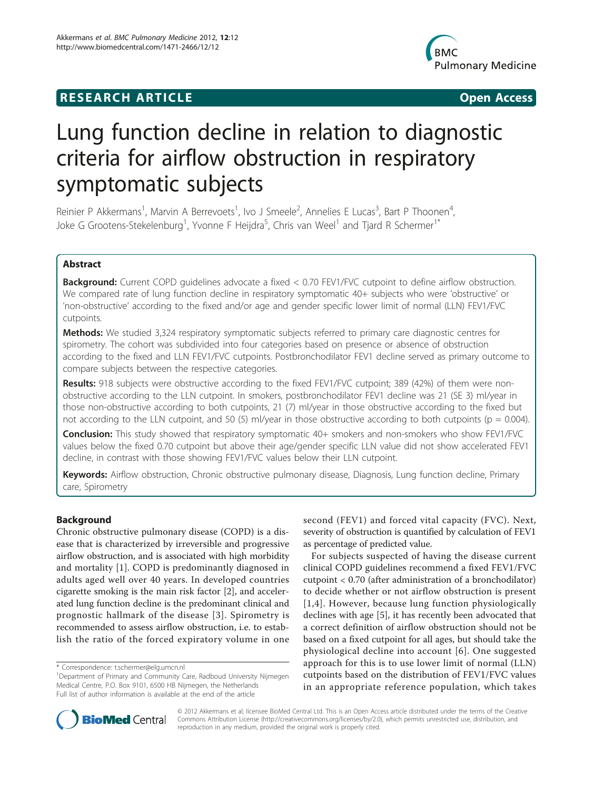## **RESEARCH ARTICLE Example 2018 12:00 Open Access**



# Lung function decline in relation to diagnostic criteria for airflow obstruction in respiratory symptomatic subjects

Reinier P Akkermans<sup>1</sup>, Marvin A Berrevoets<sup>1</sup>, Ivo J Smeele<sup>2</sup>, Annelies E Lucas<sup>3</sup>, Bart P Thoonen<sup>4</sup> , Joke G Grootens-Stekelenburg<sup>1</sup>, Yvonne F Heijdra<sup>5</sup>, Chris van Weel<sup>1</sup> and Tjard R Schermer<sup>1\*</sup>

## Abstract

**Background:** Current COPD quidelines advocate a fixed < 0.70 FEV1/FVC cutpoint to define airflow obstruction. We compared rate of lung function decline in respiratory symptomatic 40+ subjects who were 'obstructive' or 'non-obstructive' according to the fixed and/or age and gender specific lower limit of normal (LLN) FEV1/FVC cutpoints.

**Methods:** We studied 3,324 respiratory symptomatic subjects referred to primary care diagnostic centres for spirometry. The cohort was subdivided into four categories based on presence or absence of obstruction according to the fixed and LLN FEV1/FVC cutpoints. Postbronchodilator FEV1 decline served as primary outcome to compare subjects between the respective categories.

Results: 918 subjects were obstructive according to the fixed FEV1/FVC cutpoint; 389 (42%) of them were nonobstructive according to the LLN cutpoint. In smokers, postbronchodilator FEV1 decline was 21 (SE 3) ml/year in those non-obstructive according to both cutpoints, 21 (7) ml/year in those obstructive according to the fixed but not according to the LLN cutpoint, and 50 (5) ml/year in those obstructive according to both cutpoints ( $p = 0.004$ ).

**Conclusion:** This study showed that respiratory symptomatic 40+ smokers and non-smokers who show FEV1/FVC values below the fixed 0.70 cutpoint but above their age/gender specific LLN value did not show accelerated FEV1 decline, in contrast with those showing FEV1/FVC values below their LLN cutpoint.

Keywords: Airflow obstruction, Chronic obstructive pulmonary disease, Diagnosis, Lung function decline, Primary care, Spirometry

## Background

Chronic obstructive pulmonary disease (COPD) is a disease that is characterized by irreversible and progressive airflow obstruction, and is associated with high morbidity and mortality [[1\]](#page-12-0). COPD is predominantly diagnosed in adults aged well over 40 years. In developed countries cigarette smoking is the main risk factor [[2\]](#page-12-0), and accelerated lung function decline is the predominant clinical and prognostic hallmark of the disease [[3](#page-12-0)]. Spirometry is recommended to assess airflow obstruction, i.e. to establish the ratio of the forced expiratory volume in one

second (FEV1) and forced vital capacity (FVC). Next, severity of obstruction is quantified by calculation of FEV1 as percentage of predicted value.

For subjects suspected of having the disease current clinical COPD guidelines recommend a fixed FEV1/FVC cutpoint < 0.70 (after administration of a bronchodilator) to decide whether or not airflow obstruction is present [[1](#page-12-0),[4](#page-12-0)]. However, because lung function physiologically declines with age [[5](#page-12-0)], it has recently been advocated that a correct definition of airflow obstruction should not be based on a fixed cutpoint for all ages, but should take the physiological decline into account [[6\]](#page-12-0). One suggested approach for this is to use lower limit of normal (LLN) cutpoints based on the distribution of FEV1/FVC values in an appropriate reference population, which takes



© 2012 Akkermans et al; licensee BioMed Central Ltd. This is an Open Access article distributed under the terms of the Creative Commons Attribution License [\(http://creativecommons.org/licenses/by/2.0](http://creativecommons.org/licenses/by/2.0)), which permits unrestricted use, distribution, and reproduction in any medium, provided the original work is properly cited.

<sup>\*</sup> Correspondence: [t.schermer@elg.umcn.nl](mailto:t.schermer@elg.umcn.nl)

<sup>&</sup>lt;sup>1</sup>Department of Primary and Community Care, Radboud University Nijmegen Medical Centre, P.O. Box 9101, 6500 HB Nijmegen, the Netherlands Full list of author information is available at the end of the article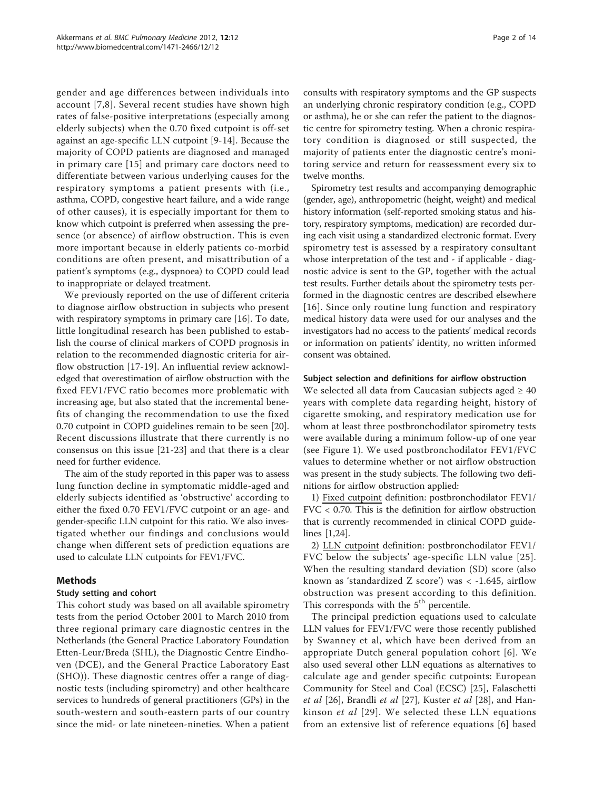gender and age differences between individuals into account [[7,8\]](#page-12-0). Several recent studies have shown high rates of false-positive interpretations (especially among elderly subjects) when the 0.70 fixed cutpoint is off-set against an age-specific LLN cutpoint [[9-14](#page-12-0)]. Because the majority of COPD patients are diagnosed and managed in primary care [[15\]](#page-12-0) and primary care doctors need to differentiate between various underlying causes for the respiratory symptoms a patient presents with (i.e., asthma, COPD, congestive heart failure, and a wide range of other causes), it is especially important for them to know which cutpoint is preferred when assessing the presence (or absence) of airflow obstruction. This is even more important because in elderly patients co-morbid conditions are often present, and misattribution of a patient's symptoms (e.g., dyspnoea) to COPD could lead to inappropriate or delayed treatment.

We previously reported on the use of different criteria to diagnose airflow obstruction in subjects who present with respiratory symptoms in primary care [[16](#page-12-0)]. To date, little longitudinal research has been published to establish the course of clinical markers of COPD prognosis in relation to the recommended diagnostic criteria for airflow obstruction [[17-19\]](#page-12-0). An influential review acknowledged that overestimation of airflow obstruction with the fixed FEV1/FVC ratio becomes more problematic with increasing age, but also stated that the incremental benefits of changing the recommendation to use the fixed 0.70 cutpoint in COPD guidelines remain to be seen [\[20](#page-12-0)]. Recent discussions illustrate that there currently is no consensus on this issue [[21](#page-13-0)-[23\]](#page-13-0) and that there is a clear need for further evidence.

The aim of the study reported in this paper was to assess lung function decline in symptomatic middle-aged and elderly subjects identified as 'obstructive' according to either the fixed 0.70 FEV1/FVC cutpoint or an age- and gender-specific LLN cutpoint for this ratio. We also investigated whether our findings and conclusions would change when different sets of prediction equations are used to calculate LLN cutpoints for FEV1/FVC.

## Methods

## Study setting and cohort

This cohort study was based on all available spirometry tests from the period October 2001 to March 2010 from three regional primary care diagnostic centres in the Netherlands (the General Practice Laboratory Foundation Etten-Leur/Breda (SHL), the Diagnostic Centre Eindhoven (DCE), and the General Practice Laboratory East (SHO)). These diagnostic centres offer a range of diagnostic tests (including spirometry) and other healthcare services to hundreds of general practitioners (GPs) in the south-western and south-eastern parts of our country since the mid- or late nineteen-nineties. When a patient consults with respiratory symptoms and the GP suspects an underlying chronic respiratory condition (e.g., COPD or asthma), he or she can refer the patient to the diagnostic centre for spirometry testing. When a chronic respiratory condition is diagnosed or still suspected, the majority of patients enter the diagnostic centre's monitoring service and return for reassessment every six to twelve months.

Spirometry test results and accompanying demographic (gender, age), anthropometric (height, weight) and medical history information (self-reported smoking status and history, respiratory symptoms, medication) are recorded during each visit using a standardized electronic format. Every spirometry test is assessed by a respiratory consultant whose interpretation of the test and - if applicable - diagnostic advice is sent to the GP, together with the actual test results. Further details about the spirometry tests performed in the diagnostic centres are described elsewhere [[16\]](#page-12-0). Since only routine lung function and respiratory medical history data were used for our analyses and the investigators had no access to the patients' medical records or information on patients' identity, no written informed consent was obtained.

## Subject selection and definitions for airflow obstruction

We selected all data from Caucasian subjects aged  $\geq 40$ years with complete data regarding height, history of cigarette smoking, and respiratory medication use for whom at least three postbronchodilator spirometry tests were available during a minimum follow-up of one year (see Figure [1](#page-2-0)). We used postbronchodilator FEV1/FVC values to determine whether or not airflow obstruction was present in the study subjects. The following two definitions for airflow obstruction applied:

1) Fixed cutpoint definition: postbronchodilator FEV1/ FVC < 0.70. This is the definition for airflow obstruction that is currently recommended in clinical COPD guidelines [[1,](#page-12-0)[24\]](#page-13-0).

2) LLN cutpoint definition: postbronchodilator FEV1/ FVC below the subjects' age-specific LLN value [[25\]](#page-13-0). When the resulting standard deviation (SD) score (also known as 'standardized Z score') was < -1.645, airflow obstruction was present according to this definition. This corresponds with the  $5<sup>th</sup>$  percentile.

The principal prediction equations used to calculate LLN values for FEV1/FVC were those recently published by Swanney et al, which have been derived from an appropriate Dutch general population cohort [\[6\]](#page-12-0). We also used several other LLN equations as alternatives to calculate age and gender specific cutpoints: European Community for Steel and Coal (ECSC) [\[25](#page-13-0)], Falaschetti et al [[26\]](#page-13-0), Brandli et al [[27\]](#page-13-0), Kuster et al [[28\]](#page-13-0), and Han-kinson et al [[29\]](#page-13-0). We selected these LLN equations from an extensive list of reference equations [[6](#page-12-0)] based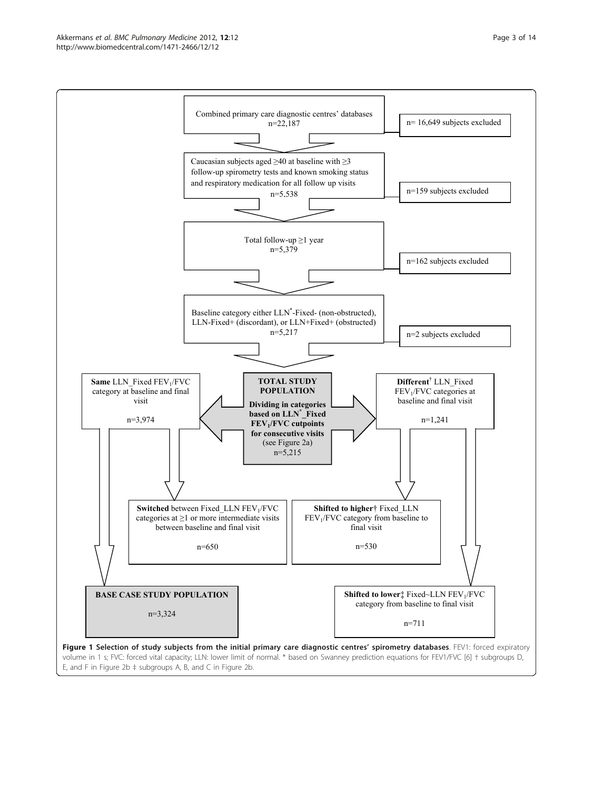<span id="page-2-0"></span>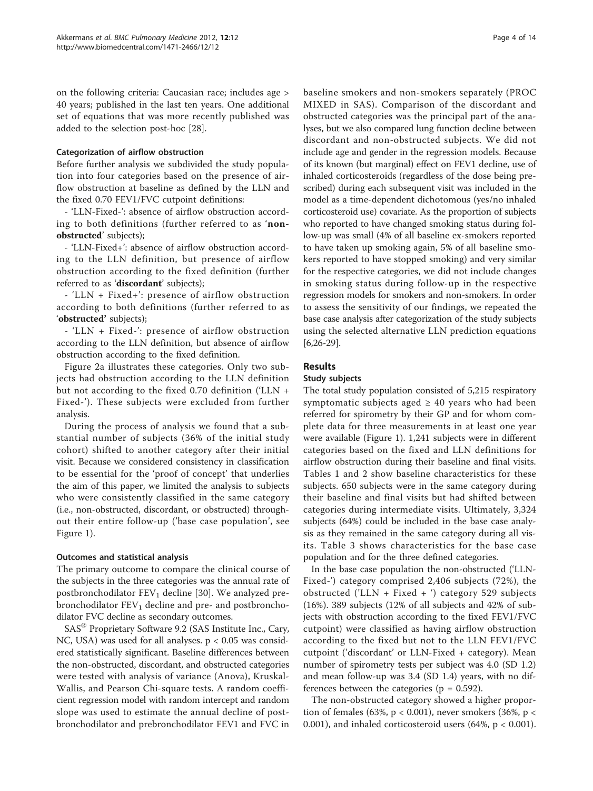on the following criteria: Caucasian race; includes age > 40 years; published in the last ten years. One additional set of equations that was more recently published was added to the selection post-hoc [[28](#page-13-0)].

#### Categorization of airflow obstruction

Before further analysis we subdivided the study population into four categories based on the presence of airflow obstruction at baseline as defined by the LLN and the fixed 0.70 FEV1/FVC cutpoint definitions:

- 'LLN-Fixed-': absence of airflow obstruction according to both definitions (further referred to as 'nonobstructed' subjects);

- 'LLN-Fixed+': absence of airflow obstruction according to the LLN definition, but presence of airflow obstruction according to the fixed definition (further referred to as 'discordant' subjects);

- 'LLN + Fixed+': presence of airflow obstruction according to both definitions (further referred to as 'obstructed' subjects);

- 'LLN + Fixed-': presence of airflow obstruction according to the LLN definition, but absence of airflow obstruction according to the fixed definition.

Figure [2a](#page-4-0) illustrates these categories. Only two subjects had obstruction according to the LLN definition but not according to the fixed 0.70 definition ('LLN + Fixed-'). These subjects were excluded from further analysis.

During the process of analysis we found that a substantial number of subjects (36% of the initial study cohort) shifted to another category after their initial visit. Because we considered consistency in classification to be essential for the 'proof of concept' that underlies the aim of this paper, we limited the analysis to subjects who were consistently classified in the same category (i.e., non-obstructed, discordant, or obstructed) throughout their entire follow-up ('base case population', see Figure [1](#page-2-0)).

#### Outcomes and statistical analysis

The primary outcome to compare the clinical course of the subjects in the three categories was the annual rate of postbronchodilator  $FEV<sub>1</sub>$  decline [[30](#page-13-0)]. We analyzed prebronchodilator  $FEV<sub>1</sub>$  decline and pre- and postbronchodilator FVC decline as secondary outcomes.

SAS® Proprietary Software 9.2 (SAS Institute Inc., Cary, NC, USA) was used for all analyses.  $p < 0.05$  was considered statistically significant. Baseline differences between the non-obstructed, discordant, and obstructed categories were tested with analysis of variance (Anova), Kruskal-Wallis, and Pearson Chi-square tests. A random coefficient regression model with random intercept and random slope was used to estimate the annual decline of postbronchodilator and prebronchodilator FEV1 and FVC in baseline smokers and non-smokers separately (PROC MIXED in SAS). Comparison of the discordant and obstructed categories was the principal part of the analyses, but we also compared lung function decline between discordant and non-obstructed subjects. We did not include age and gender in the regression models. Because of its known (but marginal) effect on FEV1 decline, use of inhaled corticosteroids (regardless of the dose being prescribed) during each subsequent visit was included in the model as a time-dependent dichotomous (yes/no inhaled corticosteroid use) covariate. As the proportion of subjects who reported to have changed smoking status during follow-up was small (4% of all baseline ex-smokers reported to have taken up smoking again, 5% of all baseline smokers reported to have stopped smoking) and very similar for the respective categories, we did not include changes in smoking status during follow-up in the respective regression models for smokers and non-smokers. In order to assess the sensitivity of our findings, we repeated the base case analysis after categorization of the study subjects using the selected alternative LLN prediction equations [[6,](#page-12-0)[26](#page-13-0)-[29](#page-13-0)].

## Results

#### Study subjects

The total study population consisted of 5,215 respiratory symptomatic subjects aged  $\geq$  40 years who had been referred for spirometry by their GP and for whom complete data for three measurements in at least one year were available (Figure [1\)](#page-2-0). 1,241 subjects were in different categories based on the fixed and LLN definitions for airflow obstruction during their baseline and final visits. Tables [1](#page-5-0) and [2](#page-5-0) show baseline characteristics for these subjects. 650 subjects were in the same category during their baseline and final visits but had shifted between categories during intermediate visits. Ultimately, 3,324 subjects (64%) could be included in the base case analysis as they remained in the same category during all visits. Table [3](#page-6-0) shows characteristics for the base case population and for the three defined categories.

In the base case population the non-obstructed ('LLN-Fixed-') category comprised 2,406 subjects (72%), the obstructed ('LLN + Fixed + ') category 529 subjects (16%). 389 subjects (12% of all subjects and 42% of subjects with obstruction according to the fixed FEV1/FVC cutpoint) were classified as having airflow obstruction according to the fixed but not to the LLN FEV1/FVC cutpoint ('discordant' or LLN-Fixed + category). Mean number of spirometry tests per subject was 4.0 (SD 1.2) and mean follow-up was 3.4 (SD 1.4) years, with no differences between the categories ( $p = 0.592$ ).

The non-obstructed category showed a higher proportion of females (63%,  $p < 0.001$ ), never smokers (36%,  $p <$ 0.001), and inhaled corticosteroid users  $(64\%, p < 0.001)$ .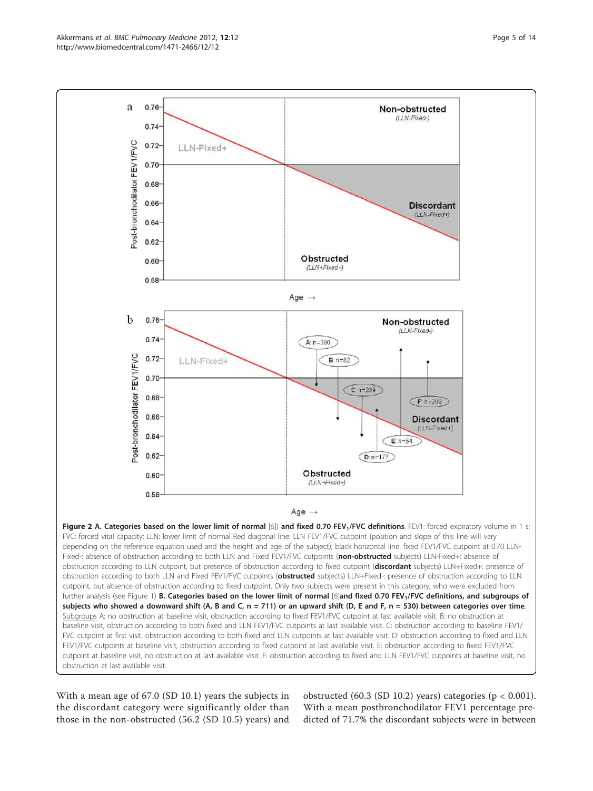<span id="page-4-0"></span>

With a mean age of 67.0 (SD 10.1) years the subjects in the discordant category were significantly older than those in the non-obstructed (56.2 (SD 10.5) years) and

obstructed (60.3 (SD 10.2) years) categories ( $p < 0.001$ ). With a mean postbronchodilator FEV1 percentage predicted of 71.7% the discordant subjects were in between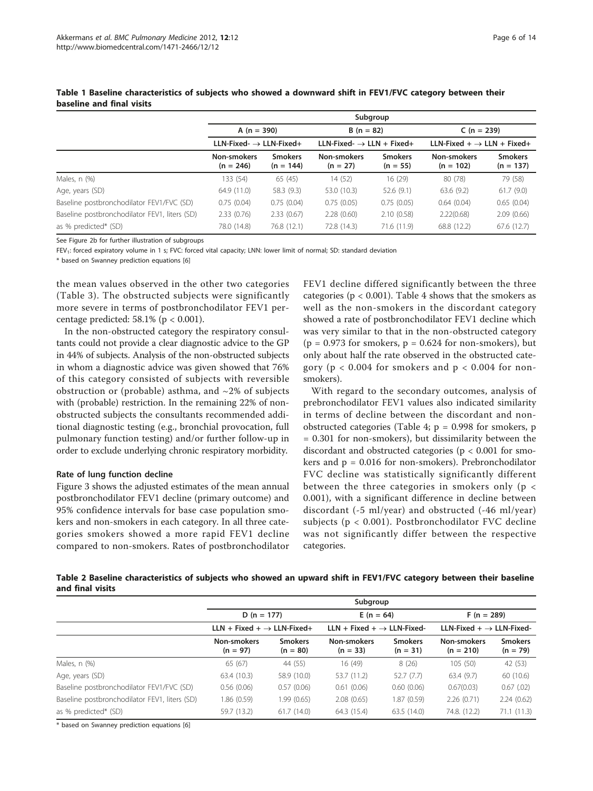|                                               |                                        |                               |                                       | Subgroup                     |                                        |                               |
|-----------------------------------------------|----------------------------------------|-------------------------------|---------------------------------------|------------------------------|----------------------------------------|-------------------------------|
|                                               | A ( $n = 390$ )                        |                               | $B(n = 82)$                           |                              | $C (n = 239)$                          |                               |
|                                               | $LLN$ -Fixed- $\rightarrow$ LLN-Fixed+ |                               | LLN-Fixed- $\rightarrow$ LLN + Fixed+ |                              | LLN-Fixed $+ \rightarrow$ LLN + Fixed+ |                               |
|                                               | Non-smokers<br>$(n = 246)$             | <b>Smokers</b><br>$(n = 144)$ | Non-smokers<br>$(n = 27)$             | <b>Smokers</b><br>$(n = 55)$ | Non-smokers<br>$(n = 102)$             | <b>Smokers</b><br>$(n = 137)$ |
| Males, n (%)                                  | 133 (54)                               | 65(45)                        | 14 (52)                               | 16 (29)                      | 80 (78)                                | 79 (58)                       |
| Age, years (SD)                               | 64.9 (11.0)                            | 58.3(9.3)                     | 53.0 (10.3)                           | 52.6(9.1)                    | 63.6(9.2)                              | 61.7(9.0)                     |
| Baseline postbronchodilator FEV1/FVC (SD)     | 0.75(0.04)                             | 0.75(0.04)                    | 0.75(0.05)                            | 0.75(0.05)                   | 0.64(0.04)                             | 0.65(0.04)                    |
| Baseline postbronchodilator FEV1, liters (SD) | 2.33(0.76)                             | 2.33(0.67)                    | 2.28(0.60)                            | 2.10(0.58)                   | 2.22(0.68)                             | 2.09(0.66)                    |
| as % predicted* (SD)                          | 78.0 (14.8)                            | 76.8 (12.1)                   | 72.8 (14.3)                           | 71.6 (11.9)                  | 68.8 (12.2)                            | 67.6(12.7)                    |

<span id="page-5-0"></span>Table 1 Baseline characteristics of subjects who showed a downward shift in FEV1/FVC category between their baseline and final visits

See Figure 2b for further illustration of subgroups

FEV<sub>1</sub>: forced expiratory volume in 1 s; FVC: forced vital capacity; LNN: lower limit of normal; SD: standard deviation

\* based on Swanney prediction equations [[6](#page-12-0)]

the mean values observed in the other two categories (Table [3\)](#page-6-0). The obstructed subjects were significantly more severe in terms of postbronchodilator FEV1 percentage predicted: 58.1% (p < 0.001).

In the non-obstructed category the respiratory consultants could not provide a clear diagnostic advice to the GP in 44% of subjects. Analysis of the non-obstructed subjects in whom a diagnostic advice was given showed that 76% of this category consisted of subjects with reversible obstruction or (probable) asthma, and  $\sim$ 2% of subjects with (probable) restriction. In the remaining 22% of nonobstructed subjects the consultants recommended additional diagnostic testing (e.g., bronchial provocation, full pulmonary function testing) and/or further follow-up in order to exclude underlying chronic respiratory morbidity.

#### Rate of lung function decline

Figure [3](#page-7-0) shows the adjusted estimates of the mean annual postbronchodilator FEV1 decline (primary outcome) and 95% confidence intervals for base case population smokers and non-smokers in each category. In all three categories smokers showed a more rapid FEV1 decline compared to non-smokers. Rates of postbronchodilator

FEV1 decline differed significantly between the three categories ( $p < 0.001$ ). Table [4](#page-8-0) shows that the smokers as well as the non-smokers in the discordant category showed a rate of postbronchodilator FEV1 decline which was very similar to that in the non-obstructed category  $(p = 0.973$  for smokers,  $p = 0.624$  for non-smokers), but only about half the rate observed in the obstructed category ( $p < 0.004$  for smokers and  $p < 0.004$  for nonsmokers).

With regard to the secondary outcomes, analysis of prebronchodilator FEV1 values also indicated similarity in terms of decline between the discordant and non-obstructed categories (Table [4](#page-8-0);  $p = 0.998$  for smokers,  $p$ = 0.301 for non-smokers), but dissimilarity between the discordant and obstructed categories ( $p < 0.001$  for smokers and  $p = 0.016$  for non-smokers). Prebronchodilator FVC decline was statistically significantly different between the three categories in smokers only ( $p <$ 0.001), with a significant difference in decline between discordant (-5 ml/year) and obstructed (-46 ml/year) subjects (p < 0.001). Postbronchodilator FVC decline was not significantly differ between the respective categories.

Table 2 Baseline characteristics of subjects who showed an upward shift in FEV1/FVC category between their baseline and final visits

|                                               |                                        |                              | Subgroup                              |                              |                                      |                              |
|-----------------------------------------------|----------------------------------------|------------------------------|---------------------------------------|------------------------------|--------------------------------------|------------------------------|
|                                               | $D (n = 177)$                          |                              | E (n = 64)                            |                              | $F(n = 289)$                         |                              |
|                                               | $LLN + Fixed + \rightarrow LLN-Fixed+$ |                              | $LLN + Fixed + \rightarrow LLN-Fixed$ |                              | LLN-Fixed $+ \rightarrow$ LLN-Fixed- |                              |
|                                               | Non-smokers<br>$(n = 97)$              | <b>Smokers</b><br>$(n = 80)$ | Non-smokers<br>$(n = 33)$             | <b>Smokers</b><br>$(n = 31)$ | Non-smokers<br>$(n = 210)$           | <b>Smokers</b><br>$(n = 79)$ |
| Males, n (%)                                  | 65 (67)                                | 44 (55)                      | 16 (49)                               | 8(26)                        | 105(50)                              | 42 (53)                      |
| Age, years (SD)                               | 63.4 (10.3)                            | 58.9 (10.0)                  | 53.7 (11.2)                           | 52.7(7.7)                    | 63.4(9.7)                            | 60 (10.6)                    |
| Baseline postbronchodilator FEV1/FVC (SD)     | 0.56(0.06)                             | 0.57(0.06)                   | 0.61(0.06)                            | 0.60(0.06)                   | 0.67(0.03)                           | $0.67$ $(.02)$               |
| Baseline postbronchodilator FEV1, liters (SD) | 1.86 (0.59)                            | 1.99(0.65)                   | 2.08(0.65)                            | 1.87 (0.59)                  | 2.26(0.71)                           | 2.24(0.62)                   |
| as % predicted* (SD)                          | 59.7 (13.2)                            | 61.7(14.0)                   | 64.3 (15.4)                           | 63.5 (14.0)                  | 74.8. (12.2)                         | 71.1(11.3)                   |

\* based on Swanney prediction equations [[6](#page-12-0)]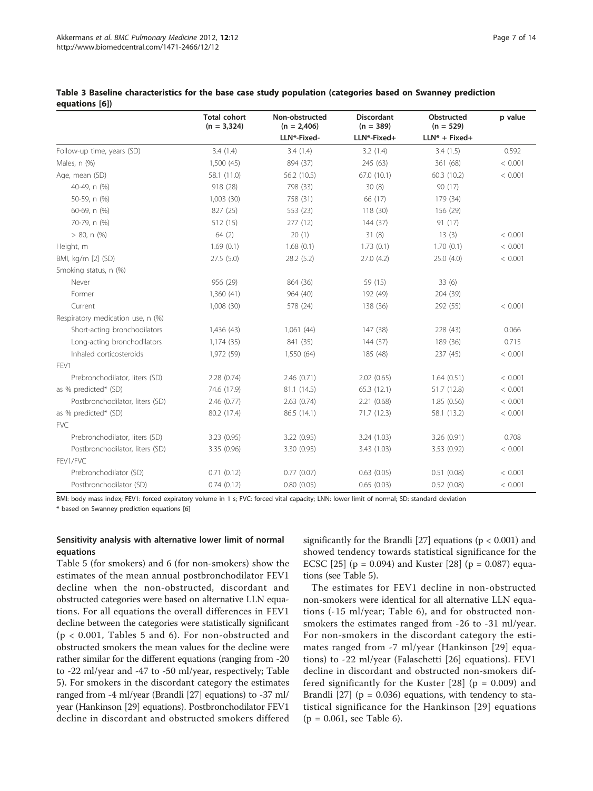|                                   | <b>Total cohort</b><br>$(n = 3,324)$ | Non-obstructed<br>$(n = 2,406)$ | <b>Discordant</b><br>$(n = 389)$ | Obstructed<br>$(n = 529)$ | p value |
|-----------------------------------|--------------------------------------|---------------------------------|----------------------------------|---------------------------|---------|
|                                   |                                      | LLN*-Fixed-                     | LLN*-Fixed+                      | LLN* + Fixed+             |         |
| Follow-up time, years (SD)        | 3.4(1.4)                             | 3.4(1.4)                        | 3.2(1.4)                         | 3.4(1.5)                  | 0.592   |
| Males, n (%)                      | 1,500(45)                            | 894 (37)                        | 245 (63)                         | 361 (68)                  | < 0.001 |
| Age, mean (SD)                    | 58.1 (11.0)                          | 56.2 (10.5)                     | 67.0 (10.1)                      | 60.3 (10.2)               | < 0.001 |
| 40-49, n (%)                      | 918 (28)                             | 798 (33)                        | 30(8)                            | 90 (17)                   |         |
| 50-59, n (%)                      | 1,003(30)                            | 758 (31)                        | 66 (17)                          | 179 (34)                  |         |
| 60-69, n (%)                      | 827 (25)                             | 553 (23)                        | 118 (30)                         | 156 (29)                  |         |
| 70-79, n (%)                      | 512 (15)                             | 277 (12)                        | 144(37)                          | 91(17)                    |         |
| $> 80$ , n $(\%)$                 | 64(2)                                | 20(1)                           | 31(8)                            | 13(3)                     | < 0.001 |
| Height, m                         | 1.69(0.1)                            | 1.68(0.1)                       | 1.73(0.1)                        | 1.70(0.1)                 | < 0.001 |
| BMI, kg/m [2] (SD)                | 27.5(5.0)                            | 28.2(5.2)                       | 27.0(4.2)                        | 25.0(4.0)                 | < 0.001 |
| Smoking status, n (%)             |                                      |                                 |                                  |                           |         |
| Never                             | 956 (29)                             | 864 (36)                        | 59 (15)                          | 33(6)                     |         |
| Former                            | 1,360(41)                            | 964 (40)                        | 192 (49)                         | 204 (39)                  |         |
| Current                           | 1,008 (30)                           | 578 (24)                        | 138 (36)                         | 292 (55)                  | < 0.001 |
| Respiratory medication use, n (%) |                                      |                                 |                                  |                           |         |
| Short-acting bronchodilators      | 1,436 (43)                           | 1,061(44)                       | 147 (38)                         | 228 (43)                  | 0.066   |
| Long-acting bronchodilators       | 1,174(35)                            | 841 (35)                        | 144 (37)                         | 189 (36)                  | 0.715   |
| Inhaled corticosteroids           | 1,972 (59)                           | 1,550 (64)                      | 185 (48)                         | 237 (45)                  | < 0.001 |
| FEV1                              |                                      |                                 |                                  |                           |         |
| Prebronchodilator, liters (SD)    | 2.28(0.74)                           | 2.46(0.71)                      | 2.02(0.65)                       | 1.64(0.51)                | < 0.001 |
| as % predicted* (SD)              | 74.6 (17.9)                          | 81.1 (14.5)                     | 65.3 (12.1)                      | 51.7 (12.8)               | < 0.001 |
| Postbronchodilator, liters (SD)   | 2.46(0.77)                           | 2.63(0.74)                      | 2.21(0.68)                       | 1.85(0.56)                | < 0.001 |
| as % predicted* (SD)              | 80.2 (17.4)                          | 86.5 (14.1)                     | 71.7 (12.3)                      | 58.1 (13.2)               | < 0.001 |
| <b>FVC</b>                        |                                      |                                 |                                  |                           |         |
| Prebronchodilator, liters (SD)    | 3.23(0.95)                           | 3.22(0.95)                      | 3.24 (1.03)                      | 3.26(0.91)                | 0.708   |
| Postbronchodilator, liters (SD)   | 3.35 (0.96)                          | 3.30(0.95)                      | 3.43 (1.03)                      | 3.53 (0.92)               | < 0.001 |
| FEV1/FVC                          |                                      |                                 |                                  |                           |         |
| Prebronchodilator (SD)            | 0.71(0.12)                           | 0.77(0.07)                      | 0.63(0.05)                       | 0.51(0.08)                | < 0.001 |
| Postbronchodilator (SD)           | 0.74(0.12)                           | 0.80(0.05)                      | 0.65(0.03)                       | 0.52(0.08)                | < 0.001 |

<span id="page-6-0"></span>Table 3 Baseline characteristics for the base case study population (categories based on Swanney prediction equations [\[6](#page-12-0)])

BMI: body mass index; FEV1: forced expiratory volume in 1 s; FVC: forced vital capacity; LNN: lower limit of normal; SD: standard deviation \* based on Swanney prediction equations [[6](#page-12-0)]

## Sensitivity analysis with alternative lower limit of normal equations

Table [5](#page-9-0) (for smokers) and 6 (for non-smokers) show the estimates of the mean annual postbronchodilator FEV1 decline when the non-obstructed, discordant and obstructed categories were based on alternative LLN equations. For all equations the overall differences in FEV1 decline between the categories were statistically significant (p < 0.001, Tables [5](#page-9-0) and [6\)](#page-10-0). For non-obstructed and obstructed smokers the mean values for the decline were rather similar for the different equations (ranging from -20 to -22 ml/year and -47 to -50 ml/year, respectively; Table [5\)](#page-9-0). For smokers in the discordant category the estimates ranged from -4 ml/year (Brandli [\[27](#page-13-0)] equations) to -37 ml/ year (Hankinson [\[29\]](#page-13-0) equations). Postbronchodilator FEV1 decline in discordant and obstructed smokers differed significantly for the Brandli [\[27\]](#page-13-0) equations ( $p < 0.001$ ) and showed tendency towards statistical significance for the ECSC [[25\]](#page-13-0) ( $p = 0.094$ ) and Kuster [[28\]](#page-13-0) ( $p = 0.087$ ) equations (see Table [5\)](#page-9-0).

The estimates for FEV1 decline in non-obstructed non-smokers were identical for all alternative LLN equations (-15 ml/year; Table [6](#page-10-0)), and for obstructed nonsmokers the estimates ranged from -26 to -31 ml/year. For non-smokers in the discordant category the estimates ranged from -7 ml/year (Hankinson [\[29\]](#page-13-0) equations) to -22 ml/year (Falaschetti [\[26](#page-13-0)] equations). FEV1 decline in discordant and obstructed non-smokers differed significantly for the Kuster  $[28]$  $[28]$  $[28]$  (p = 0.009) and Brandli  $[27]$  $[27]$  ( $p = 0.036$ ) equations, with tendency to statistical significance for the Hankinson [\[29\]](#page-13-0) equations  $(p = 0.061,$  see Table [6](#page-10-0)).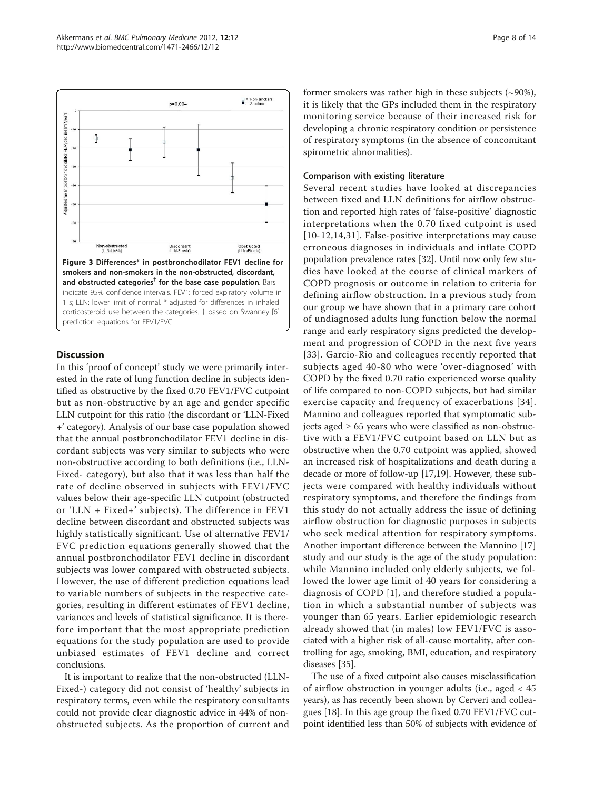<span id="page-7-0"></span>

## **Discussion**

In this 'proof of concept' study we were primarily interested in the rate of lung function decline in subjects identified as obstructive by the fixed 0.70 FEV1/FVC cutpoint but as non-obstructive by an age and gender specific LLN cutpoint for this ratio (the discordant or 'LLN-Fixed +' category). Analysis of our base case population showed that the annual postbronchodilator FEV1 decline in discordant subjects was very similar to subjects who were non-obstructive according to both definitions (i.e., LLN-Fixed- category), but also that it was less than half the rate of decline observed in subjects with FEV1/FVC values below their age-specific LLN cutpoint (obstructed or 'LLN + Fixed+' subjects). The difference in FEV1 decline between discordant and obstructed subjects was highly statistically significant. Use of alternative FEV1/ FVC prediction equations generally showed that the annual postbronchodilator FEV1 decline in discordant subjects was lower compared with obstructed subjects. However, the use of different prediction equations lead to variable numbers of subjects in the respective categories, resulting in different estimates of FEV1 decline, variances and levels of statistical significance. It is therefore important that the most appropriate prediction equations for the study population are used to provide unbiased estimates of FEV1 decline and correct conclusions.

It is important to realize that the non-obstructed (LLN-Fixed-) category did not consist of 'healthy' subjects in respiratory terms, even while the respiratory consultants could not provide clear diagnostic advice in 44% of nonobstructed subjects. As the proportion of current and former smokers was rather high in these subjects  $(\sim 90\%)$ , it is likely that the GPs included them in the respiratory monitoring service because of their increased risk for developing a chronic respiratory condition or persistence of respiratory symptoms (in the absence of concomitant spirometric abnormalities).

## Comparison with existing literature

Several recent studies have looked at discrepancies between fixed and LLN definitions for airflow obstruction and reported high rates of 'false-positive' diagnostic interpretations when the 0.70 fixed cutpoint is used [[10](#page-12-0)-[12,14](#page-12-0),[31\]](#page-13-0). False-positive interpretations may cause erroneous diagnoses in individuals and inflate COPD population prevalence rates [\[32](#page-13-0)]. Until now only few studies have looked at the course of clinical markers of COPD prognosis or outcome in relation to criteria for defining airflow obstruction. In a previous study from our group we have shown that in a primary care cohort of undiagnosed adults lung function below the normal range and early respiratory signs predicted the development and progression of COPD in the next five years [[33\]](#page-13-0). Garcio-Rio and colleagues recently reported that subjects aged 40-80 who were 'over-diagnosed' with COPD by the fixed 0.70 ratio experienced worse quality of life compared to non-COPD subjects, but had similar exercise capacity and frequency of exacerbations [[34\]](#page-13-0). Mannino and colleagues reported that symptomatic subjects aged  $\geq 65$  years who were classified as non-obstructive with a FEV1/FVC cutpoint based on LLN but as obstructive when the 0.70 cutpoint was applied, showed an increased risk of hospitalizations and death during a decade or more of follow-up [\[17,19\]](#page-12-0). However, these subjects were compared with healthy individuals without respiratory symptoms, and therefore the findings from this study do not actually address the issue of defining airflow obstruction for diagnostic purposes in subjects who seek medical attention for respiratory symptoms. Another important difference between the Mannino [[17](#page-12-0)] study and our study is the age of the study population: while Mannino included only elderly subjects, we followed the lower age limit of 40 years for considering a diagnosis of COPD [[1\]](#page-12-0), and therefore studied a population in which a substantial number of subjects was younger than 65 years. Earlier epidemiologic research already showed that (in males) low FEV1/FVC is associated with a higher risk of all-cause mortality, after controlling for age, smoking, BMI, education, and respiratory diseases [[35\]](#page-13-0).

The use of a fixed cutpoint also causes misclassification of airflow obstruction in younger adults (i.e., aged < 45 years), as has recently been shown by Cerveri and colleagues [[18](#page-12-0)]. In this age group the fixed 0.70 FEV1/FVC cutpoint identified less than 50% of subjects with evidence of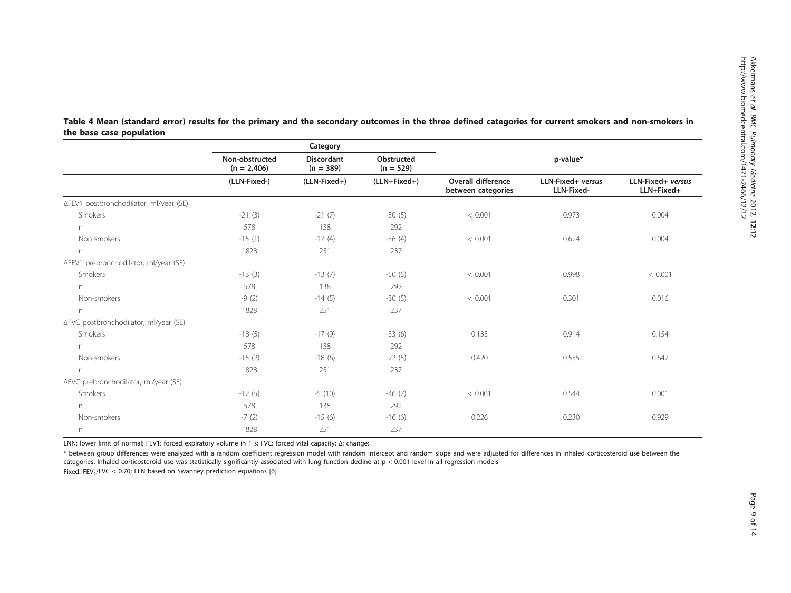|                                        |                                 | Category                         |                           |                                          |                                 |                                 |
|----------------------------------------|---------------------------------|----------------------------------|---------------------------|------------------------------------------|---------------------------------|---------------------------------|
|                                        | Non-obstructed<br>$(n = 2,406)$ | <b>Discordant</b><br>$(n = 389)$ | Obstructed<br>$(n = 529)$ |                                          | p-value*                        |                                 |
|                                        | (LLN-Fixed-)                    | (LLN-Fixed+)                     | (LLN+Fixed+)              | Overall difference<br>between categories | LLN-Fixed+ versus<br>LLN-Fixed- | LLN-Fixed+ versus<br>LLN+Fixed+ |
| ∆FEV1 postbronchodilator, ml/year (SE) |                                 |                                  |                           |                                          |                                 |                                 |
| Smokers                                | $-21(3)$                        | $-21(7)$                         | $-50(5)$                  | < 0.001                                  | 0.973                           | 0.004                           |
| n.                                     | 578                             | 138                              | 292                       |                                          |                                 |                                 |
| Non-smokers                            | $-15(1)$                        | $-17(4)$                         | $-36(4)$                  | < 0.001                                  | 0.624                           | 0.004                           |
| n.                                     | 1828                            | 251                              | 237                       |                                          |                                 |                                 |
| ∆FEV1 prebronchodilator, ml/year (SE)  |                                 |                                  |                           |                                          |                                 |                                 |
| Smokers                                | $-13(3)$                        | $-13(7)$                         | $-50(5)$                  | < 0.001                                  | 0.998                           | < 0.001                         |
| n                                      | 578                             | 138                              | 292                       |                                          |                                 |                                 |
| Non-smokers                            | $-9(2)$                         | $-14(5)$                         | $-30(5)$                  | < 0.001                                  | 0.301                           | 0.016                           |
| n                                      | 1828                            | 251                              | 237                       |                                          |                                 |                                 |
| ∆FVC postbronchodilator, ml/year (SE)  |                                 |                                  |                           |                                          |                                 |                                 |
| Smokers                                | $-18(5)$                        | $-17(9)$                         | $-33(6)$                  | 0.133                                    | 0.914                           | 0.154                           |
| n                                      | 578                             | 138                              | 292                       |                                          |                                 |                                 |
| Non-smokers                            | $-15(2)$                        | $-18(6)$                         | $-22(5)$                  | 0.420                                    | 0.555                           | 0.647                           |
| n.                                     | 1828                            | 251                              | 237                       |                                          |                                 |                                 |
| ∆FVC prebronchodilator, ml/year (SE)   |                                 |                                  |                           |                                          |                                 |                                 |
| Smokers                                | $-12(5)$                        | $-5(10)$                         | $-46(7)$                  | < 0.001                                  | 0.544                           | 0.001                           |
| n                                      | 578                             | 138                              | 292                       |                                          |                                 |                                 |
| Non-smokers                            | $-7(2)$                         | $-15(6)$                         | $-16(6)$                  | 0.226                                    | 0.230                           | 0.929                           |
| n                                      | 1828                            | 251                              | 237                       |                                          |                                 |                                 |

<span id="page-8-0"></span>Table 4 Mean (standard error) results for the primary and the secondary outcomes in the three defined categories for current smokers and non-smokers in the base case population

LNN: lower limit of normal; FEV1: forced expiratory volume in 1 s; FVC: forced vital capacity; Δ: change;

\* between group differences were analyzed with a random coefficient regression model with random intercept and random slope and were adjusted for differences in inhaled corticosteroid use between the categories. Inhaled corticosteroid use was statistically significantly associated with lung function decline at p < 0.001 level in all regression models

Fixed: FEV<sub>1</sub>/FVC < 0.70; LLN based on Swanney prediction equations [\[6\]](#page-12-0)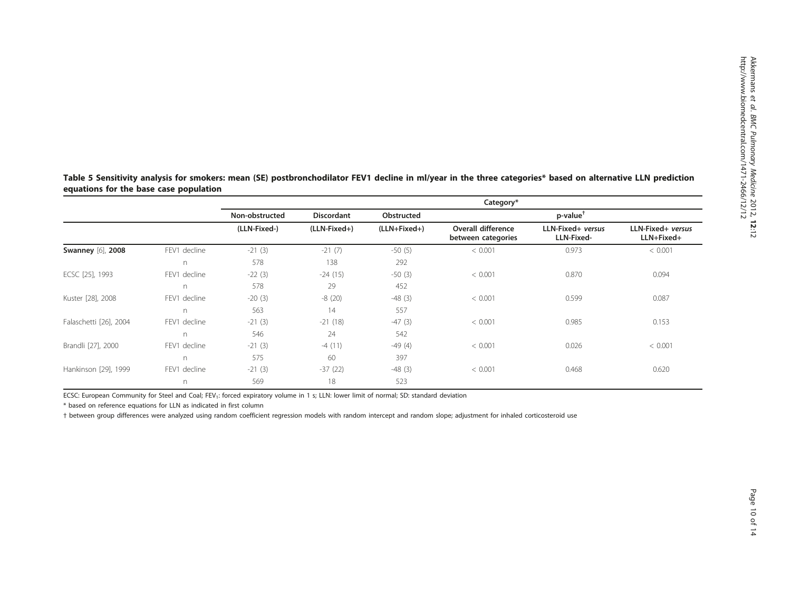|                          |              |                | Category*    |              |                                                 |                                 |                                 |  |  |
|--------------------------|--------------|----------------|--------------|--------------|-------------------------------------------------|---------------------------------|---------------------------------|--|--|
|                          |              | Non-obstructed | Discordant   | Obstructed   | $p$ -value $†$                                  |                                 |                                 |  |  |
|                          |              | (LLN-Fixed-)   | (LLN-Fixed+) | (LLN+Fixed+) | <b>Overall difference</b><br>between categories | LLN-Fixed+ versus<br>LLN-Fixed- | LLN-Fixed+ versus<br>LLN+Fixed+ |  |  |
| <b>Swanney</b> [6], 2008 | FEV1 decline | $-21(3)$       | $-21(7)$     | $-50(5)$     | < 0.001                                         | 0.973                           | < 0.001                         |  |  |
|                          | n            | 578            | 138          | 292          |                                                 |                                 |                                 |  |  |
| ECSC [25], 1993          | FEV1 decline | $-22(3)$       | $-24(15)$    | $-50(3)$     | < 0.001                                         | 0.870                           | 0.094                           |  |  |
|                          | n            | 578            | 29           | 452          |                                                 |                                 |                                 |  |  |
| Kuster [28], 2008        | FEV1 decline | $-20(3)$       | $-8(20)$     | $-48(3)$     | < 0.001                                         | 0.599                           | 0.087                           |  |  |
|                          | n            | 563            | 14           | 557          |                                                 |                                 |                                 |  |  |
| Falaschetti [26], 2004   | FEV1 decline | $-21(3)$       | $-21(18)$    | $-47(3)$     | < 0.001                                         | 0.985                           | 0.153                           |  |  |
|                          | $\Gamma$     | 546            | 24           | 542          |                                                 |                                 |                                 |  |  |
| Brandli [27], 2000       | FEV1 decline | $-21(3)$       | $-4(11)$     | $-49(4)$     | < 0.001                                         | 0.026                           | < 0.001                         |  |  |
|                          | $\Gamma$     | 575            | 60           | 397          |                                                 |                                 |                                 |  |  |
| Hankinson [29], 1999     | FEV1 decline | $-21(3)$       | $-37(22)$    | $-48(3)$     | < 0.001                                         | 0.468                           | 0.620                           |  |  |
|                          | n            | 569            | 18           | 523          |                                                 |                                 |                                 |  |  |

<span id="page-9-0"></span>Table 5 Sensitivity analysis for smokers: mean (SE) postbronchodilator FEV1 decline in ml/year in the three categories\* based on alternative LLN prediction equations for the base case population

ECSC: European Community for Steel and Coal; FEV<sub>1</sub>: forced expiratory volume in 1 s; LLN: lower limit of normal; SD: standard deviation

\* based on reference equations for LLN as indicated in first column

† between group differences were analyzed using random coefficient regression models with random intercept and random slope; adjustment for inhaled corticosteroid use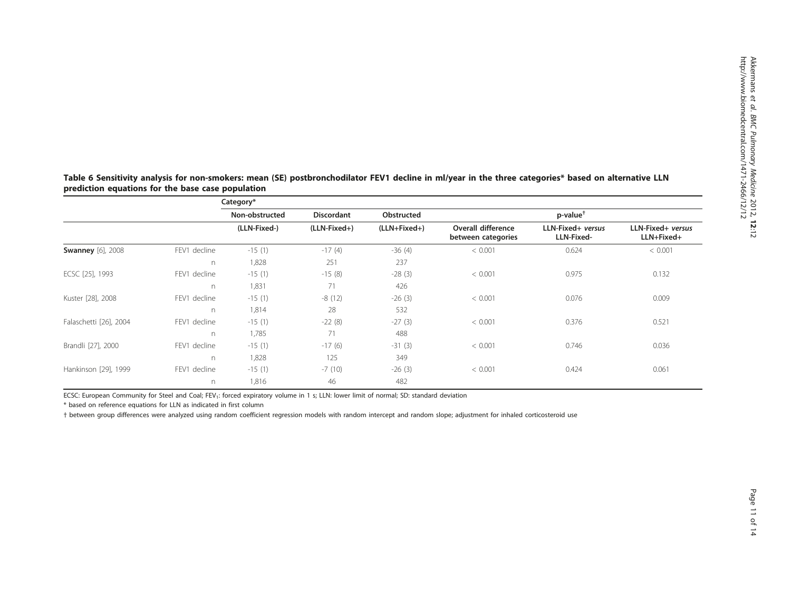|                          |              | Category*      |                   |                   |                                                 |                                 |                                 |
|--------------------------|--------------|----------------|-------------------|-------------------|-------------------------------------------------|---------------------------------|---------------------------------|
|                          |              | Non-obstructed | <b>Discordant</b> | Obstructed        |                                                 | $p$ -value <sup>†</sup>         |                                 |
|                          |              | (LLN-Fixed-)   | (LLN-Fixed+)      | $(LLN + Fixed +)$ | <b>Overall difference</b><br>between categories | LLN-Fixed+ versus<br>LLN-Fixed- | LLN-Fixed+ versus<br>LLN+Fixed+ |
| <b>Swanney</b> [6], 2008 | FEV1 decline | $-15(1)$       | $-17(4)$          | $-36(4)$          | < 0.001                                         | 0.624                           | < 0.001                         |
|                          | n            | 1,828          | 251               | 237               |                                                 |                                 |                                 |
| ECSC [25], 1993          | FEV1 decline | $-15(1)$       | $-15(8)$          | $-28(3)$          | < 0.001                                         | 0.975                           | 0.132                           |
|                          | n            | 1,831          | 71                | 426               |                                                 |                                 |                                 |
| Kuster [28], 2008        | FEV1 decline | $-15(1)$       | $-8(12)$          | $-26(3)$          | < 0.001                                         | 0.076                           | 0.009                           |
|                          | n            | 1,814          | 28                | 532               |                                                 |                                 |                                 |
| Falaschetti [26], 2004   | FEV1 decline | $-15(1)$       | $-22(8)$          | $-27(3)$          | < 0.001                                         | 0.376                           | 0.521                           |
|                          | n            | 1,785          | 71                | 488               |                                                 |                                 |                                 |
| Brandli [27], 2000       | FEV1 decline | $-15(1)$       | $-17(6)$          | $-31(3)$          | < 0.001                                         | 0.746                           | 0.036                           |
|                          | n            | 1,828          | 125               | 349               |                                                 |                                 |                                 |
| Hankinson [29], 1999     | FEV1 decline | $-15(1)$       | $-7(10)$          | $-26(3)$          | < 0.001                                         | 0.424                           | 0.061                           |
|                          | n            | 1,816          | 46                | 482               |                                                 |                                 |                                 |

<span id="page-10-0"></span>Table 6 Sensitivity analysis for non-smokers: mean (SE) postbronchodilator FEV1 decline in ml/year in the three categories\* based on alternative LLN prediction equations for the base case population

ECSC: European Community for Steel and Coal; FEV<sub>1</sub>: forced expiratory volume in 1 s; LLN: lower limit of normal; SD: standard deviation

\* based on reference equations for LLN as indicated in first column

† between group differences were analyzed using random coefficient regression models with random intercept and random slope; adjustment for inhaled corticosteroid use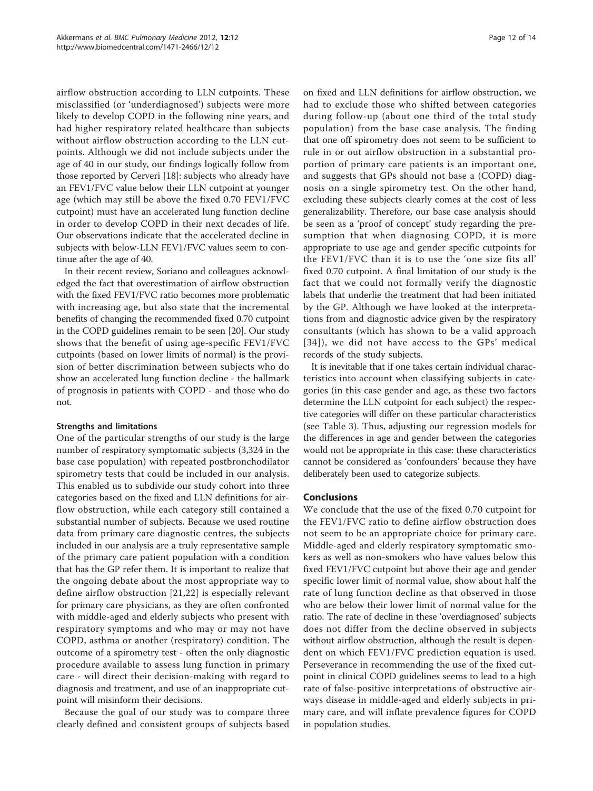airflow obstruction according to LLN cutpoints. These misclassified (or 'underdiagnosed') subjects were more likely to develop COPD in the following nine years, and had higher respiratory related healthcare than subjects without airflow obstruction according to the LLN cutpoints. Although we did not include subjects under the age of 40 in our study, our findings logically follow from those reported by Cerveri [\[18\]](#page-12-0): subjects who already have an FEV1/FVC value below their LLN cutpoint at younger age (which may still be above the fixed 0.70 FEV1/FVC cutpoint) must have an accelerated lung function decline in order to develop COPD in their next decades of life. Our observations indicate that the accelerated decline in subjects with below-LLN FEV1/FVC values seem to continue after the age of 40.

In their recent review, Soriano and colleagues acknowledged the fact that overestimation of airflow obstruction with the fixed FEV1/FVC ratio becomes more problematic with increasing age, but also state that the incremental benefits of changing the recommended fixed 0.70 cutpoint in the COPD guidelines remain to be seen [\[20\]](#page-12-0). Our study shows that the benefit of using age-specific FEV1/FVC cutpoints (based on lower limits of normal) is the provision of better discrimination between subjects who do show an accelerated lung function decline - the hallmark of prognosis in patients with COPD - and those who do not.

#### Strengths and limitations

One of the particular strengths of our study is the large number of respiratory symptomatic subjects (3,324 in the base case population) with repeated postbronchodilator spirometry tests that could be included in our analysis. This enabled us to subdivide our study cohort into three categories based on the fixed and LLN definitions for airflow obstruction, while each category still contained a substantial number of subjects. Because we used routine data from primary care diagnostic centres, the subjects included in our analysis are a truly representative sample of the primary care patient population with a condition that has the GP refer them. It is important to realize that the ongoing debate about the most appropriate way to define airflow obstruction [[21,22\]](#page-13-0) is especially relevant for primary care physicians, as they are often confronted with middle-aged and elderly subjects who present with respiratory symptoms and who may or may not have COPD, asthma or another (respiratory) condition. The outcome of a spirometry test - often the only diagnostic procedure available to assess lung function in primary care - will direct their decision-making with regard to diagnosis and treatment, and use of an inappropriate cutpoint will misinform their decisions.

Because the goal of our study was to compare three clearly defined and consistent groups of subjects based

on fixed and LLN definitions for airflow obstruction, we had to exclude those who shifted between categories during follow-up (about one third of the total study population) from the base case analysis. The finding that one off spirometry does not seem to be sufficient to rule in or out airflow obstruction in a substantial proportion of primary care patients is an important one, and suggests that GPs should not base a (COPD) diagnosis on a single spirometry test. On the other hand, excluding these subjects clearly comes at the cost of less generalizability. Therefore, our base case analysis should be seen as a 'proof of concept' study regarding the presumption that when diagnosing COPD, it is more appropriate to use age and gender specific cutpoints for the FEV1/FVC than it is to use the 'one size fits all' fixed 0.70 cutpoint. A final limitation of our study is the fact that we could not formally verify the diagnostic labels that underlie the treatment that had been initiated by the GP. Although we have looked at the interpretations from and diagnostic advice given by the respiratory consultants (which has shown to be a valid approach [[34](#page-13-0)]), we did not have access to the GPs' medical records of the study subjects.

It is inevitable that if one takes certain individual characteristics into account when classifying subjects in categories (in this case gender and age, as these two factors determine the LLN cutpoint for each subject) the respective categories will differ on these particular characteristics (see Table [3](#page-6-0)). Thus, adjusting our regression models for the differences in age and gender between the categories would not be appropriate in this case: these characteristics cannot be considered as 'confounders' because they have deliberately been used to categorize subjects.

### Conclusions

We conclude that the use of the fixed 0.70 cutpoint for the FEV1/FVC ratio to define airflow obstruction does not seem to be an appropriate choice for primary care. Middle-aged and elderly respiratory symptomatic smokers as well as non-smokers who have values below this fixed FEV1/FVC cutpoint but above their age and gender specific lower limit of normal value, show about half the rate of lung function decline as that observed in those who are below their lower limit of normal value for the ratio. The rate of decline in these 'overdiagnosed' subjects does not differ from the decline observed in subjects without airflow obstruction, although the result is dependent on which FEV1/FVC prediction equation is used. Perseverance in recommending the use of the fixed cutpoint in clinical COPD guidelines seems to lead to a high rate of false-positive interpretations of obstructive airways disease in middle-aged and elderly subjects in primary care, and will inflate prevalence figures for COPD in population studies.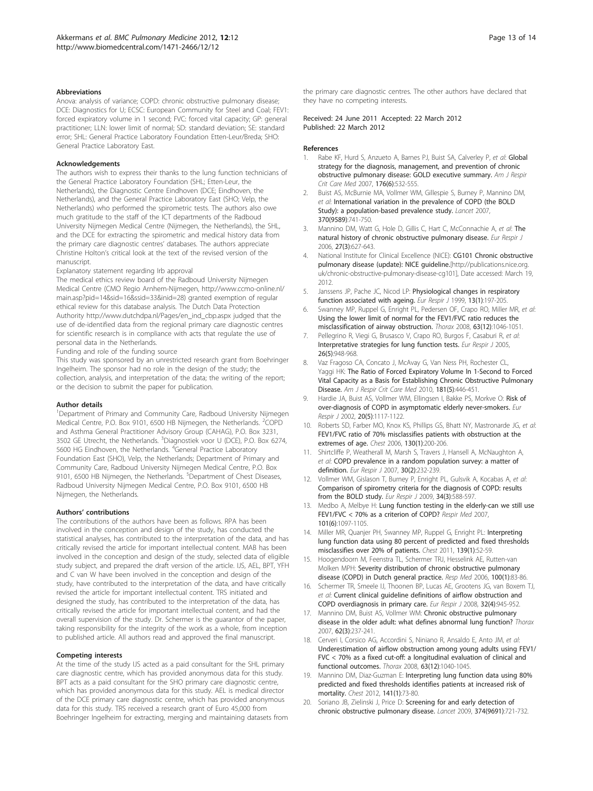#### <span id="page-12-0"></span>Abbreviations

Anova: analysis of variance; COPD: chronic obstructive pulmonary disease; DCE: Diagnostics for U; ECSC: European Community for Steel and Coal; FEV1: forced expiratory volume in 1 second; FVC: forced vital capacity; GP: general practitioner; LLN: lower limit of normal; SD: standard deviation; SE: standard error; SHL: General Practice Laboratory Foundation Etten-Leur/Breda; SHO: General Practice Laboratory East.

#### Acknowledgements

The authors wish to express their thanks to the lung function technicians of the General Practice Laboratory Foundation (SHL; Etten-Leur, the Netherlands), the Diagnostic Centre Eindhoven (DCE; Eindhoven, the Netherlands), and the General Practice Laboratory East (SHO; Velp, the Netherlands) who performed the spirometric tests. The authors also owe much gratitude to the staff of the ICT departments of the Radboud University Nijmegen Medical Centre (Nijmegen, the Netherlands), the SHL, and the DCE for extracting the spirometric and medical history data from the primary care diagnostic centres' databases. The authors appreciate Christine Holton's critical look at the text of the revised version of the manuscript.

Explanatory statement regarding Irb approval

The medical ethics review board of the Radboud University Nijmegen Medical Centre (CMO Regio Arnhem-Nijmegen, [http://www.ccmo-online.nl/](http://www.ccmo-online.nl/main.asp?pid=14&sid=16&ssid=33&inid=28) [main.asp?pid=14&sid=16&ssid=33&inid=28\)](http://www.ccmo-online.nl/main.asp?pid=14&sid=16&ssid=33&inid=28) granted exemption of regular ethical review for this database analysis. The Dutch Data Protection Authority [http://www.dutchdpa.nl/Pages/en\\_ind\\_cbp.aspx](http://www.dutchdpa.nl/Pages/en_ind_cbp.aspx) judged that the use of de-identified data from the regional primary care diagnostic centres for scientific research is in compliance with acts that regulate the use of personal data in the Netherlands.

Funding and role of the funding source

This study was sponsored by an unrestricted research grant from Boehringer Ingelheim. The sponsor had no role in the design of the study; the collection, analysis, and interpretation of the data; the writing of the report; or the decision to submit the paper for publication.

#### Author details

<sup>1</sup>Department of Primary and Community Care, Radboud University Nijmegen Medical Centre, P.O. Box 9101, 6500 HB Nijmegen, the Netherlands. <sup>2</sup>COPD and Asthma General Practitioner Advisory Group (CAHAG), P.O. Box 3231, 3502 GE Utrecht, the Netherlands. <sup>3</sup>Diagnostiek voor U (DCE), P.O. Box 6274, 5600 HG Eindhoven, the Netherlands. <sup>4</sup>General Practice Laboratory Foundation East (SHO), Velp, the Netherlands; Department of Primary and Community Care, Radboud University Nijmegen Medical Centre, P.O. Box 9101, 6500 HB Nijmegen, the Netherlands. <sup>5</sup> Department of Chest Diseases, Radboud University Nijmegen Medical Centre, P.O. Box 9101, 6500 HB Nijmegen, the Netherlands.

#### Authors' contributions

The contributions of the authors have been as follows. RPA has been involved in the conception and design of the study, has conducted the statistical analyses, has contributed to the interpretation of the data, and has critically revised the article for important intellectual content. MAB has been involved in the conception and design of the study, selected data of eligible study subject, and prepared the draft version of the article. IJS, AEL, BPT, YFH and C van W have been involved in the conception and design of the study, have contributed to the interpretation of the data, and have critically revised the article for important intellectual content. TRS initiated and designed the study, has contributed to the interpretation of the data, has critically revised the article for important intellectual content, and had the overall supervision of the study. Dr. Schermer is the guarantor of the paper, taking responsibility for the integrity of the work as a whole, from inception to published article. All authors read and approved the final manuscript.

#### Competing interests

At the time of the study IJS acted as a paid consultant for the SHL primary care diagnostic centre, which has provided anonymous data for this study. BPT acts as a paid consultant for the SHO primary care diagnostic centre, which has provided anonymous data for this study. AEL is medical director of the DCE primary care diagnostic centre, which has provided anonymous data for this study. TRS received a research grant of Euro 45,000 from Boehringer Ingelheim for extracting, merging and maintaining datasets from the primary care diagnostic centres. The other authors have declared that they have no competing interests.

Received: 24 June 2011 Accepted: 22 March 2012 Published: 22 March 2012

#### References

- Rabe KF, Hurd S, Anzueto A, Barnes PJ, Buist SA, Calverley P, et al: [Global](http://www.ncbi.nlm.nih.gov/pubmed/17507545?dopt=Abstract) [strategy for the diagnosis, management, and prevention of chronic](http://www.ncbi.nlm.nih.gov/pubmed/17507545?dopt=Abstract) [obstructive pulmonary disease: GOLD executive summary.](http://www.ncbi.nlm.nih.gov/pubmed/17507545?dopt=Abstract) Am J Respir Crit Care Med 2007, 176(6):532-555.
- 2. Buist AS, McBurnie MA, Vollmer WM, Gillespie S, Burney P, Mannino DM, et al: [International variation in the prevalence of COPD \(the BOLD](http://www.ncbi.nlm.nih.gov/pubmed/17765523?dopt=Abstract) [Study\): a population-based prevalence study.](http://www.ncbi.nlm.nih.gov/pubmed/17765523?dopt=Abstract) Lancet 2007, 370(9589):741-750.
- 3. Mannino DM, Watt G, Hole D, Gillis C, Hart C, McConnachie A, et al: [The](http://www.ncbi.nlm.nih.gov/pubmed/16507865?dopt=Abstract) [natural history of chronic obstructive pulmonary disease.](http://www.ncbi.nlm.nih.gov/pubmed/16507865?dopt=Abstract) Eur Respir J 2006, 27(3):627-643.
- 4. National Institute for Clinical Excellence (NICE): CG101 Chronic obstructive pulmonary disease (update): NICE guideline.[\[http://publications.nice.org.](http://publications.nice.org.uk/chronic-obstructive-pulmonary-disease-cg101) [uk/chronic-obstructive-pulmonary-disease-cg101\]](http://publications.nice.org.uk/chronic-obstructive-pulmonary-disease-cg101), Date accessed: March 19, 2012.
- 5. Janssens JP, Pache JC, Nicod LP: [Physiological changes in respiratory](http://www.ncbi.nlm.nih.gov/pubmed/10836348?dopt=Abstract) [function associated with ageing.](http://www.ncbi.nlm.nih.gov/pubmed/10836348?dopt=Abstract) Eur Respir J 1999, 13(1):197-205.
- Swanney MP, Ruppel G, Enright PL, Pedersen OF, Crapo RO, Miller MR, et al: [Using the lower limit of normal for the FEV1/FVC ratio reduces the](http://www.ncbi.nlm.nih.gov/pubmed/18786983?dopt=Abstract) [misclassification of airway obstruction.](http://www.ncbi.nlm.nih.gov/pubmed/18786983?dopt=Abstract) Thorax 2008, 63(12):1046-1051.
- 7. Pellegrino R, Viegi G, Brusasco V, Crapo RO, Burgos F, Casaburi R, et al: [Interpretative strategies for lung function tests.](http://www.ncbi.nlm.nih.gov/pubmed/16264058?dopt=Abstract) Eur Respir J 2005, 26(5):948-968.
- 8. Vaz Fragoso CA, Concato J, McAvay G, Van Ness PH, Rochester CL, Yaggi HK: [The Ratio of Forced Expiratory Volume In 1-Second to Forced](http://www.ncbi.nlm.nih.gov/pubmed/20019341?dopt=Abstract) [Vital Capacity as a Basis for Establishing Chronic Obstructive Pulmonary](http://www.ncbi.nlm.nih.gov/pubmed/20019341?dopt=Abstract) [Disease.](http://www.ncbi.nlm.nih.gov/pubmed/20019341?dopt=Abstract) Am J Respir Crit Care Med 2010, 181(5):446-451.
- 9. Hardie JA, Buist AS, Vollmer WM, Ellingsen I, Bakke PS, Morkve O: [Risk of](http://www.ncbi.nlm.nih.gov/pubmed/12449163?dopt=Abstract) [over-diagnosis of COPD in asymptomatic elderly never-smokers.](http://www.ncbi.nlm.nih.gov/pubmed/12449163?dopt=Abstract) Eur Respir J 2002, 20(5):1117-1122.
- 10. Roberts SD, Farber MO, Knox KS, Phillips GS, Bhatt NY, Mastronarde JG, et al: [FEV1/FVC ratio of 70% misclassifies patients with obstruction at the](http://www.ncbi.nlm.nih.gov/pubmed/16840402?dopt=Abstract) [extremes of age.](http://www.ncbi.nlm.nih.gov/pubmed/16840402?dopt=Abstract) Chest 2006, 130(1):200-206.
- 11. Shirtcliffe P, Weatherall M, Marsh S, Travers J, Hansell A, McNaughton A, et al: [COPD prevalence in a random population survey: a matter of](http://www.ncbi.nlm.nih.gov/pubmed/17666557?dopt=Abstract) [definition.](http://www.ncbi.nlm.nih.gov/pubmed/17666557?dopt=Abstract) Eur Respir J 2007, 30(2):232-239.
- 12. Vollmer WM, Gislason T, Burney P, Enright PL, Gulsvik A, Kocabas A, et al: [Comparison of spirometry criteria for the diagnosis of COPD: results](http://www.ncbi.nlm.nih.gov/pubmed/19460786?dopt=Abstract) [from the BOLD study.](http://www.ncbi.nlm.nih.gov/pubmed/19460786?dopt=Abstract) Eur Respir J 2009, 34(3):588-597.
- Medbo A, Melbye H: [Lung function testing in the elderly-can we still use](http://www.ncbi.nlm.nih.gov/pubmed/17239575?dopt=Abstract) [FEV1/FVC < 70% as a criterion of COPD?](http://www.ncbi.nlm.nih.gov/pubmed/17239575?dopt=Abstract) Respir Med 2007, 101(6):1097-1105.
- 14. Miller MR, Quanjer PH, Swanney MP, Ruppel G, Enright PL: [Interpreting](http://www.ncbi.nlm.nih.gov/pubmed/20522571?dopt=Abstract) [lung function data using 80 percent of predicted and fixed thresholds](http://www.ncbi.nlm.nih.gov/pubmed/20522571?dopt=Abstract) [misclassifies over 20% of patients.](http://www.ncbi.nlm.nih.gov/pubmed/20522571?dopt=Abstract) Chest 2011, 139(1):52-59.
- 15. Hoogendoorn M, Feenstra TL, Schermer TRJ, Hesselink AE, Rutten-van Molken MPH: Severity distribution of chronic obstructive pulmonary disease (COPD) in Dutch general practice. Resp Med 2006, 100(1):83-86.
- 16. Schermer TR, Smeele IJ, Thoonen BP, Lucas AE, Grootens JG, van Boxem TJ, et al: [Current clinical guideline definitions of airflow obstruction and](http://www.ncbi.nlm.nih.gov/pubmed/18550607?dopt=Abstract) [COPD overdiagnosis in primary care.](http://www.ncbi.nlm.nih.gov/pubmed/18550607?dopt=Abstract) Eur Respir J 2008, 32(4):945-952.
- 17. Mannino DM, Buist AS, Vollmer WM: [Chronic obstructive pulmonary](http://www.ncbi.nlm.nih.gov/pubmed/17090573?dopt=Abstract) [disease in the older adult: what defines abnormal lung function?](http://www.ncbi.nlm.nih.gov/pubmed/17090573?dopt=Abstract) Thorax 2007, 62(3):237-241.
- 18. Cerveri I, Corsico AG, Accordini S, Niniano R, Ansaldo E, Anto JM, et al: [Underestimation of airflow obstruction among young adults using FEV1/](http://www.ncbi.nlm.nih.gov/pubmed/18492741?dopt=Abstract) [FVC < 70% as a fixed cut-off: a longitudinal evaluation of clinical and](http://www.ncbi.nlm.nih.gov/pubmed/18492741?dopt=Abstract) [functional outcomes.](http://www.ncbi.nlm.nih.gov/pubmed/18492741?dopt=Abstract) Thorax 2008, 63(12):1040-1045.
- 19. Mannino DM, Diaz-Guzman E: [Interpreting lung function data using 80%](http://www.ncbi.nlm.nih.gov/pubmed/21659434?dopt=Abstract) [predicted and fixed thresholds identifies patients at increased risk of](http://www.ncbi.nlm.nih.gov/pubmed/21659434?dopt=Abstract) [mortality.](http://www.ncbi.nlm.nih.gov/pubmed/21659434?dopt=Abstract) Chest 2012, 141(1):73-80.
- 20. Soriano JB, Zielinski J, Price D: [Screening for and early detection of](http://www.ncbi.nlm.nih.gov/pubmed/19716965?dopt=Abstract) [chronic obstructive pulmonary disease.](http://www.ncbi.nlm.nih.gov/pubmed/19716965?dopt=Abstract) Lancet 2009, 374(9691):721-732.